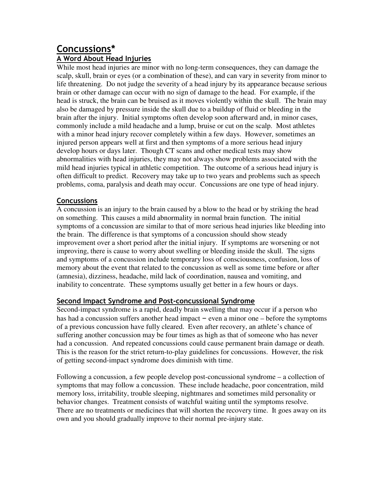# **Concussions\***

# **A Word About Head Injuries**

While most head injuries are minor with no long-term consequences, they can damage the scalp, skull, brain or eyes (or a combination of these), and can vary in severity from minor to life threatening. Do not judge the severity of a head injury by its appearance because serious brain or other damage can occur with no sign of damage to the head. For example, if the head is struck, the brain can be bruised as it moves violently within the skull. The brain may also be damaged by pressure inside the skull due to a buildup of fluid or bleeding in the brain after the injury. Initial symptoms often develop soon afterward and, in minor cases, commonly include a mild headache and a lump, bruise or cut on the scalp. Most athletes with a minor head injury recover completely within a few days. However, sometimes an injured person appears well at first and then symptoms of a more serious head injury develop hours or days later. Though CT scans and other medical tests may show abnormalities with head injuries, they may not always show problems associated with the mild head injuries typical in athletic competition. The outcome of a serious head injury is often difficult to predict. Recovery may take up to two years and problems such as speech problems, coma, paralysis and death may occur. Concussions are one type of head injury.

## **Concussions**

A concussion is an injury to the brain caused by a blow to the head or by striking the head on something. This causes a mild abnormality in normal brain function. The initial symptoms of a concussion are similar to that of more serious head injuries like bleeding into the brain. The difference is that symptoms of a concussion should show steady improvement over a short period after the initial injury. If symptoms are worsening or not improving, there is cause to worry about swelling or bleeding inside the skull. The signs and symptoms of a concussion include temporary loss of consciousness, confusion, loss of memory about the event that related to the concussion as well as some time before or after (amnesia), dizziness, headache, mild lack of coordination, nausea and vomiting, and inability to concentrate. These symptoms usually get better in a few hours or days.

## **Second Impact Syndrome and Post-concussional Syndrome**

Second-impact syndrome is a rapid, deadly brain swelling that may occur if a person who has had a concussion suffers another head impact – even a minor one – before the symptoms of a previous concussion have fully cleared. Even after recovery, an athlete's chance of suffering another concussion may be four times as high as that of someone who has never had a concussion. And repeated concussions could cause permanent brain damage or death. This is the reason for the strict return-to-play guidelines for concussions. However, the risk of getting second-impact syndrome does diminish with time.

Following a concussion, a few people develop post-concussional syndrome – a collection of symptoms that may follow a concussion. These include headache, poor concentration, mild memory loss, irritability, trouble sleeping, nightmares and sometimes mild personality or behavior changes. Treatment consists of watchful waiting until the symptoms resolve. There are no treatments or medicines that will shorten the recovery time. It goes away on its own and you should gradually improve to their normal pre-injury state.